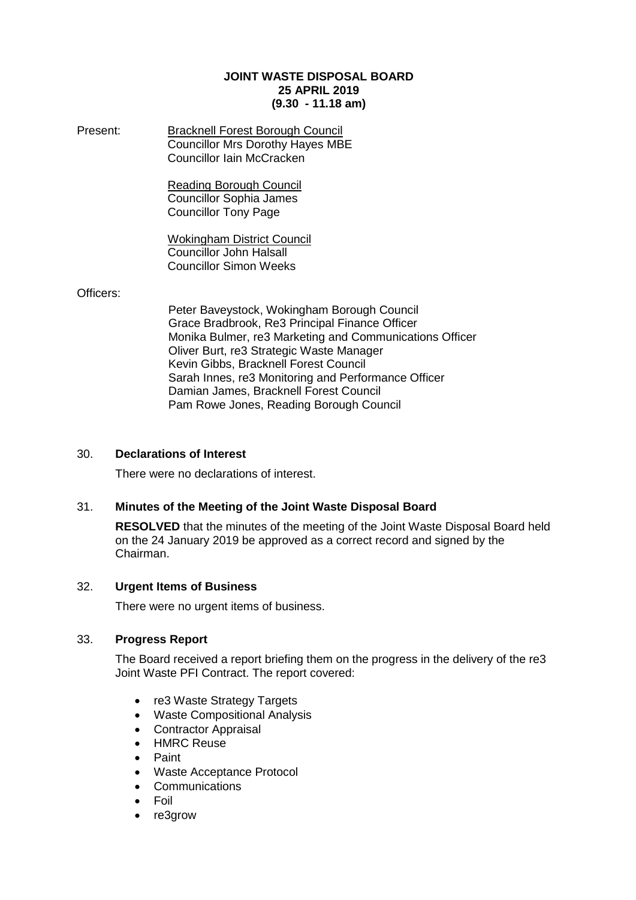#### **JOINT WASTE DISPOSAL BOARD 25 APRIL 2019 (9.30 - 11.18 am)**

Present: Bracknell Forest Borough Council Councillor Mrs Dorothy Hayes MBE Councillor Iain McCracken

> Reading Borough Council Councillor Sophia James Councillor Tony Page

Wokingham District Council Councillor John Halsall Councillor Simon Weeks

#### Officers:

Peter Baveystock, Wokingham Borough Council Grace Bradbrook, Re3 Principal Finance Officer Monika Bulmer, re3 Marketing and Communications Officer Oliver Burt, re3 Strategic Waste Manager Kevin Gibbs, Bracknell Forest Council Sarah Innes, re3 Monitoring and Performance Officer Damian James, Bracknell Forest Council Pam Rowe Jones, Reading Borough Council

# 30. **Declarations of Interest**

There were no declarations of interest.

# 31. **Minutes of the Meeting of the Joint Waste Disposal Board**

**RESOLVED** that the minutes of the meeting of the Joint Waste Disposal Board held on the 24 January 2019 be approved as a correct record and signed by the Chairman.

# 32. **Urgent Items of Business**

There were no urgent items of business.

#### 33. **Progress Report**

The Board received a report briefing them on the progress in the delivery of the re3 Joint Waste PFI Contract. The report covered:

- re3 Waste Strategy Targets
- Waste Compositional Analysis
- Contractor Appraisal
- HMRC Reuse
- Paint
- Waste Acceptance Protocol
- Communications
- Foil
- re3grow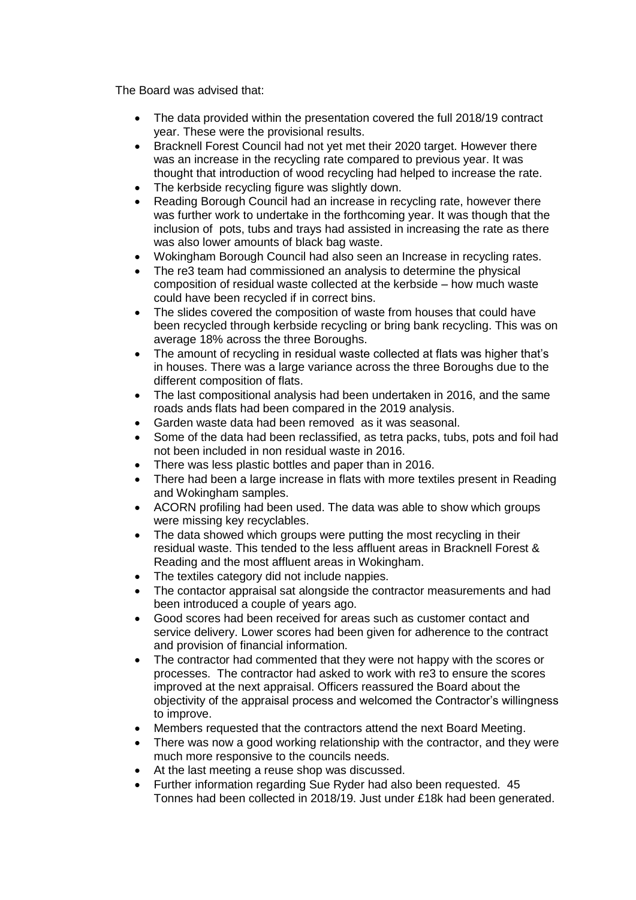The Board was advised that:

- The data provided within the presentation covered the full 2018/19 contract year. These were the provisional results.
- Bracknell Forest Council had not yet met their 2020 target. However there was an increase in the recycling rate compared to previous year. It was thought that introduction of wood recycling had helped to increase the rate.
- The kerbside recycling figure was slightly down.
- Reading Borough Council had an increase in recycling rate, however there was further work to undertake in the forthcoming year. It was though that the inclusion of pots, tubs and trays had assisted in increasing the rate as there was also lower amounts of black bag waste.
- Wokingham Borough Council had also seen an Increase in recycling rates.
- The re3 team had commissioned an analysis to determine the physical composition of residual waste collected at the kerbside – how much waste could have been recycled if in correct bins.
- The slides covered the composition of waste from houses that could have been recycled through kerbside recycling or bring bank recycling. This was on average 18% across the three Boroughs.
- The amount of recycling in residual waste collected at flats was higher that's in houses. There was a large variance across the three Boroughs due to the different composition of flats.
- The last compositional analysis had been undertaken in 2016, and the same roads ands flats had been compared in the 2019 analysis.
- Garden waste data had been removed as it was seasonal.
- Some of the data had been reclassified, as tetra packs, tubs, pots and foil had not been included in non residual waste in 2016.
- There was less plastic bottles and paper than in 2016.
- There had been a large increase in flats with more textiles present in Reading and Wokingham samples.
- ACORN profiling had been used. The data was able to show which groups were missing key recyclables.
- The data showed which groups were putting the most recycling in their residual waste. This tended to the less affluent areas in Bracknell Forest & Reading and the most affluent areas in Wokingham.
- The textiles category did not include nappies.
- The contactor appraisal sat alongside the contractor measurements and had been introduced a couple of years ago.
- Good scores had been received for areas such as customer contact and service delivery. Lower scores had been given for adherence to the contract and provision of financial information.
- The contractor had commented that they were not happy with the scores or processes. The contractor had asked to work with re3 to ensure the scores improved at the next appraisal. Officers reassured the Board about the objectivity of the appraisal process and welcomed the Contractor's willingness to improve.
- Members requested that the contractors attend the next Board Meeting.
- There was now a good working relationship with the contractor, and they were much more responsive to the councils needs.
- At the last meeting a reuse shop was discussed.
- Further information regarding Sue Ryder had also been requested. 45 Tonnes had been collected in 2018/19. Just under £18k had been generated.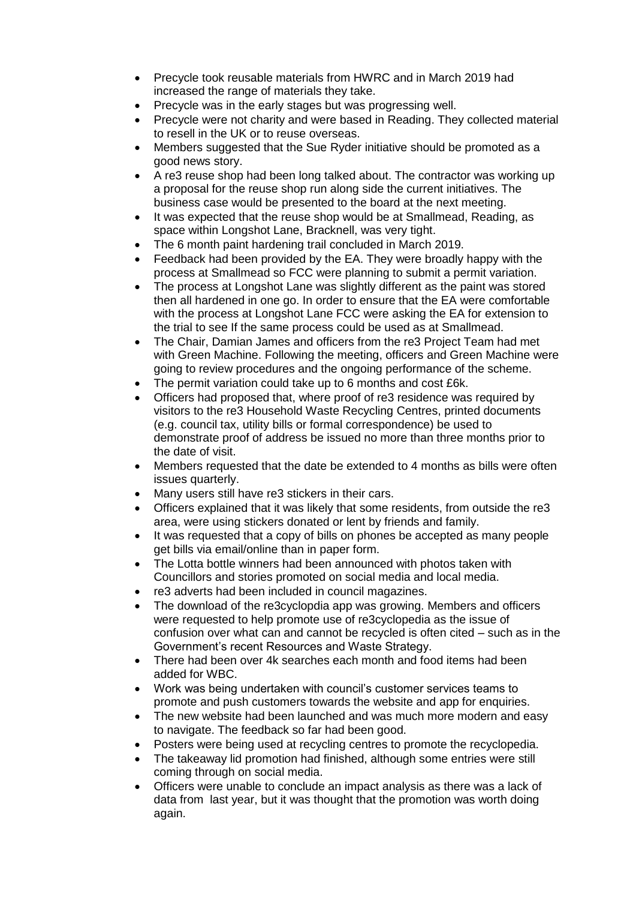- Precycle took reusable materials from HWRC and in March 2019 had increased the range of materials they take.
- Precycle was in the early stages but was progressing well.
- Precycle were not charity and were based in Reading. They collected material to resell in the UK or to reuse overseas.
- Members suggested that the Sue Ryder initiative should be promoted as a good news story.
- A re3 reuse shop had been long talked about. The contractor was working up a proposal for the reuse shop run along side the current initiatives. The business case would be presented to the board at the next meeting.
- It was expected that the reuse shop would be at Smallmead, Reading, as space within Longshot Lane, Bracknell, was very tight.
- The 6 month paint hardening trail concluded in March 2019.
- Feedback had been provided by the EA. They were broadly happy with the process at Smallmead so FCC were planning to submit a permit variation.
- The process at Longshot Lane was slightly different as the paint was stored then all hardened in one go. In order to ensure that the EA were comfortable with the process at Longshot Lane FCC were asking the EA for extension to the trial to see If the same process could be used as at Smallmead.
- The Chair, Damian James and officers from the re3 Project Team had met with Green Machine. Following the meeting, officers and Green Machine were going to review procedures and the ongoing performance of the scheme.
- The permit variation could take up to 6 months and cost £6k.
- Officers had proposed that, where proof of re3 residence was required by visitors to the re3 Household Waste Recycling Centres, printed documents (e.g. council tax, utility bills or formal correspondence) be used to demonstrate proof of address be issued no more than three months prior to the date of visit.
- Members requested that the date be extended to 4 months as bills were often issues quarterly.
- Many users still have re3 stickers in their cars.
- Officers explained that it was likely that some residents, from outside the re3 area, were using stickers donated or lent by friends and family.
- It was requested that a copy of bills on phones be accepted as many people get bills via email/online than in paper form.
- The Lotta bottle winners had been announced with photos taken with Councillors and stories promoted on social media and local media.
- re3 adverts had been included in council magazines.
- The download of the re3cyclopdia app was growing. Members and officers were requested to help promote use of re3cyclopedia as the issue of confusion over what can and cannot be recycled is often cited – such as in the Government's recent Resources and Waste Strategy.
- There had been over 4k searches each month and food items had been added for WBC.
- Work was being undertaken with council's customer services teams to promote and push customers towards the website and app for enquiries.
- The new website had been launched and was much more modern and easy to navigate. The feedback so far had been good.
- Posters were being used at recycling centres to promote the recyclopedia.
- The takeaway lid promotion had finished, although some entries were still coming through on social media.
- Officers were unable to conclude an impact analysis as there was a lack of data from last year, but it was thought that the promotion was worth doing again.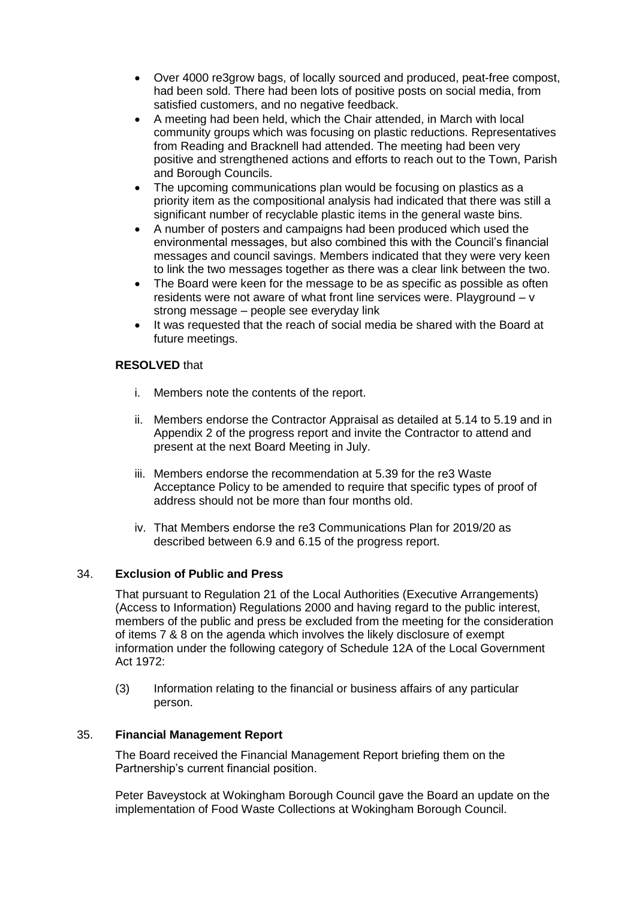- Over 4000 re3grow bags, of locally sourced and produced, peat-free compost, had been sold. There had been lots of positive posts on social media, from satisfied customers, and no negative feedback.
- A meeting had been held, which the Chair attended, in March with local community groups which was focusing on plastic reductions. Representatives from Reading and Bracknell had attended. The meeting had been very positive and strengthened actions and efforts to reach out to the Town, Parish and Borough Councils.
- The upcoming communications plan would be focusing on plastics as a priority item as the compositional analysis had indicated that there was still a significant number of recyclable plastic items in the general waste bins.
- A number of posters and campaigns had been produced which used the environmental messages, but also combined this with the Council's financial messages and council savings. Members indicated that they were very keen to link the two messages together as there was a clear link between the two.
- The Board were keen for the message to be as specific as possible as often residents were not aware of what front line services were. Playground – v strong message – people see everyday link
- It was requested that the reach of social media be shared with the Board at future meetings.

# **RESOLVED** that

- i. Members note the contents of the report.
- ii. Members endorse the Contractor Appraisal as detailed at 5.14 to 5.19 and in Appendix 2 of the progress report and invite the Contractor to attend and present at the next Board Meeting in July.
- iii. Members endorse the recommendation at 5.39 for the re3 Waste Acceptance Policy to be amended to require that specific types of proof of address should not be more than four months old.
- iv. That Members endorse the re3 Communications Plan for 2019/20 as described between 6.9 and 6.15 of the progress report.

# 34. **Exclusion of Public and Press**

That pursuant to Regulation 21 of the Local Authorities (Executive Arrangements) (Access to Information) Regulations 2000 and having regard to the public interest, members of the public and press be excluded from the meeting for the consideration of items 7 & 8 on the agenda which involves the likely disclosure of exempt information under the following category of Schedule 12A of the Local Government Act 1972:

(3) Information relating to the financial or business affairs of any particular person.

# 35. **Financial Management Report**

The Board received the Financial Management Report briefing them on the Partnership's current financial position.

Peter Baveystock at Wokingham Borough Council gave the Board an update on the implementation of Food Waste Collections at Wokingham Borough Council.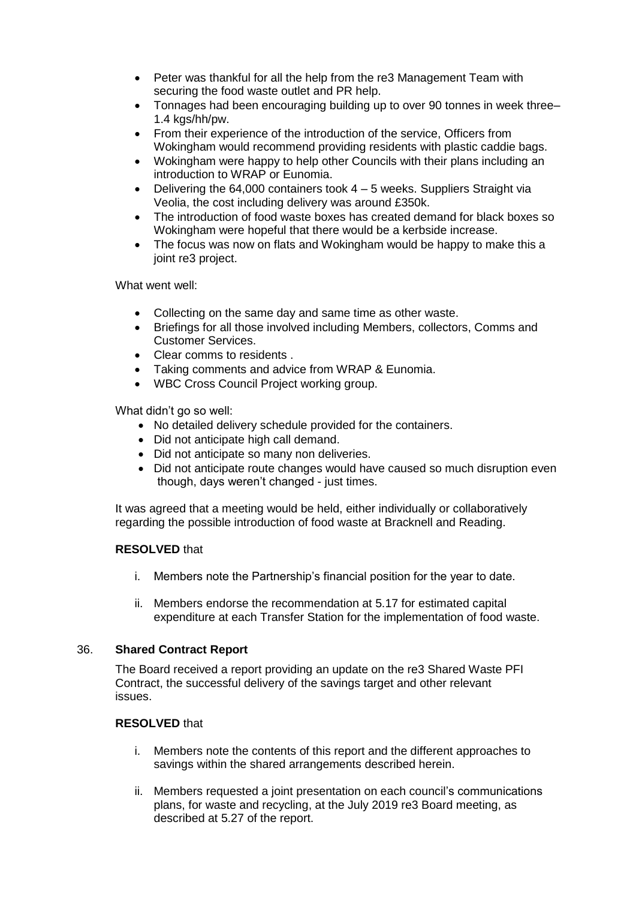- Peter was thankful for all the help from the re3 Management Team with securing the food waste outlet and PR help.
- Tonnages had been encouraging building up to over 90 tonnes in week three– 1.4 kgs/hh/pw.
- From their experience of the introduction of the service, Officers from Wokingham would recommend providing residents with plastic caddie bags.
- Wokingham were happy to help other Councils with their plans including an introduction to WRAP or Eunomia.
- Delivering the 64,000 containers took 4 5 weeks. Suppliers Straight via Veolia, the cost including delivery was around £350k.
- The introduction of food waste boxes has created demand for black boxes so Wokingham were hopeful that there would be a kerbside increase.
- The focus was now on flats and Wokingham would be happy to make this a joint re3 project.

What went well:

- Collecting on the same day and same time as other waste.
- Briefings for all those involved including Members, collectors, Comms and Customer Services.
- Clear comms to residents.
- Taking comments and advice from WRAP & Eunomia.
- WBC Cross Council Project working group.

What didn't go so well:

- No detailed delivery schedule provided for the containers.
- Did not anticipate high call demand.
- Did not anticipate so many non deliveries.
- Did not anticipate route changes would have caused so much disruption even though, days weren't changed - just times.

It was agreed that a meeting would be held, either individually or collaboratively regarding the possible introduction of food waste at Bracknell and Reading.

# **RESOLVED** that

- i. Members note the Partnership's financial position for the year to date.
- ii. Members endorse the recommendation at 5.17 for estimated capital expenditure at each Transfer Station for the implementation of food waste.

# 36. **Shared Contract Report**

The Board received a report providing an update on the re3 Shared Waste PFI Contract, the successful delivery of the savings target and other relevant issues.

# **RESOLVED** that

- i. Members note the contents of this report and the different approaches to savings within the shared arrangements described herein.
- ii. Members requested a joint presentation on each council's communications plans, for waste and recycling, at the July 2019 re3 Board meeting, as described at 5.27 of the report.